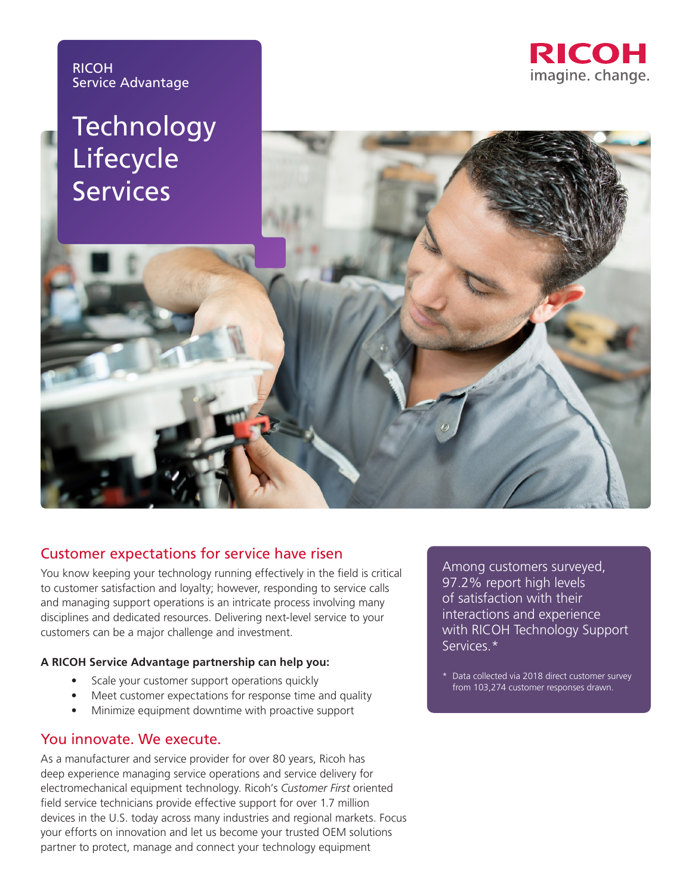

# **Technology**





# Customer expectations for service have risen

You know keeping your technology running effectively in the field is critical to customer satisfaction and loyalty; however, responding to service calls and managing support operations is an intricate process involving many disciplines and dedicated resources. Delivering next-level service to your customers can be a major challenge and investment.

## **A RICOH Service Advantage partnership can help you:**

- Scale your customer support operations quickly
- Meet customer expectations for response time and quality
- Minimize equipment downtime with proactive support

## You innovate. We execute.

As a manufacturer and service provider for over 80 years, Ricoh has deep experience managing service operations and service delivery for electromechanical equipment technology. Ricoh's *Customer First* oriented field service technicians provide effective support for over 1.7 million devices in the U.S. today across many industries and regional markets. Focus your efforts on innovation and let us become your trusted OEM solutions partner to protect, manage and connect your technology equipment

Among customers surveyed, 97.2% report high levels of satisfaction with their interactions and experience with RICOH Technology Support Services.\*

\* Data collected via 2018 direct customer survey from 103,274 customer responses drawn.